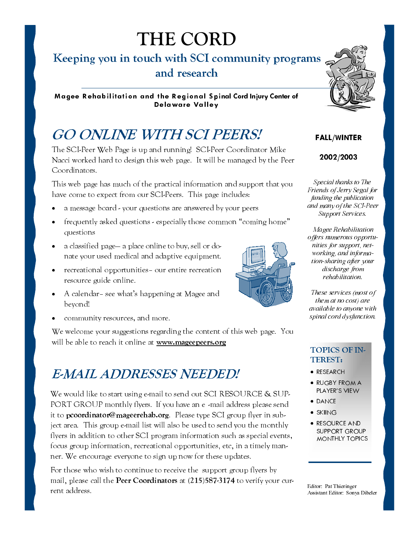# **THE CORD**

#### Keeping you in touch with SCI community programs and research

Magee Rehabilitation and the Regional Spinal Cord Injury Center of **Delaware Valley** 

# **GO ONLINE WITH SCI PEERS!**

The SCI-Peer Web Page is up and running! SCI-Peer Coordinator Mike Nacci worked hard to design this web page. It will be managed by the Peer Coordinators.

This web page has much of the practical information and support that you have come to expect from our SCI-Peers. This page includes:

- a message board your questions are answered by your peers
- frequently asked questions especially those common "coming home"  $\bullet$ questions
- a classified page— a place online to buy, sell or donate your used medical and adaptive equipment.
- recreational opportunities- our entire recreation resource guide online.
- A calendar-see what's happening at Magee and  $\bullet$ beyond!
- community resources, and more.

We welcome your suggestions regarding the content of this web page. You will be able to reach it online at www.mageepeers.org

#### **EMAIL ADDRESSES NEEDED!**

We would like to start using e-mail to send out SCI RESOURCE & SUP-PORT GROUP monthly flyers. If you have an e-mail address please send it to pcoordinator@mageerehab.org. Please type SCI group flyer in subject area. This group e-mail list will also be used to send you the monthly flyers in addition to other SCI program information such as special events, focus group information, recreational opportunities, etc, in a timely manner. We encourage everyone to sign up now for these updates.

For those who wish to continue to receive the support group flyers by mail, please call the Peer Coordinators at (215)587-3174 to verify your current address.



#### **FALL/WINTER**

#### 2002/2003

Special thanks to The Friends of Jerry Segal for funding the publication and many of the SCI-Peer **Support Services**.

Magee Rehabilitation offers numerous opportunities for support, networking, and information-sharing after your discharge from rehabilitation.

These services (most of them at no cost) are available to anyone with spinal cord dysfunction.

#### **TOPICS OF IN-TEREST:**

- · RESEARCH
- RUGBY FROM A PLAYER'S VIEW
- DANCE
- $\bullet$  SKIING
- RESOURCE AND **SUPPORT GROUP MONTHLY TOPICS**

Editor Pat Thieringer Assistant Editor: Sonya Dibeler

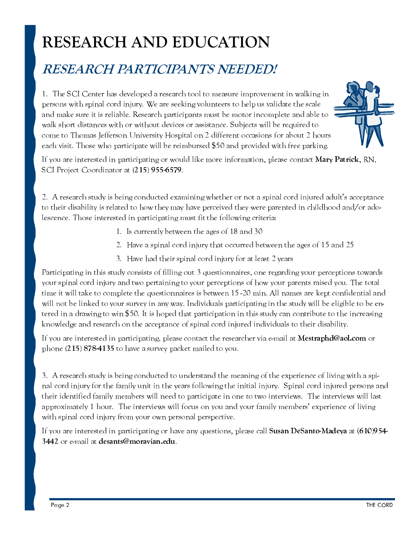# **RESEARCH AND EDUCATION**

#### **RESEARCH PARTICIPANTS NEEDED!**

1. The SCI Center has developed a research tool to measure improvement in walking in persons with spinal cord injury. We are seeking volunteers to help us validate the scale and make sure it is reliable. Research participants must be motor incomplete and able to walk short distances with or without devices or assistance. Subjects will be required to come to Thomas Jefferson University Hospital on 2 different occasions for about 2 hours each visit. Those who participate will be reimbursed \$50 and provided with free parking.



If you are interested in participating or would like more information, please contact **Mary Patrick**, RN, SCI Project Coordinator at (215) 955-6579.

2. A research study is being conducted examining whether or not a spinal cord injured adult's acceptance to their disability is related to how they may have perceived they were parented in childhood and/or adolescence. Those interested in participating must fit the following criteria:

- 1. Is currently between the ages of 18 and 30
- 2. Have a spinal cord injury that occurred between the ages of 15 and 25
- 3. Have had their spinal cord injury for at least 2 years

Participating in this study consists of filling out 3 questionnaires, one regarding your perceptions towards your spinal cord injury and two pertaining to your perceptions of how your parents raised you. The total time it will take to complete the questionnaires is between 15 -20 min. All names are kept confidential and will not be linked to your survey in any way. Individuals participating in the study will be eligible to be entered in a drawing to win \$50. It is hoped that participation in this study can contribute to the increasing knowledge and research on the acceptance of spinal cord injured individuals to their disability.

If you are interested in participating, please contact the researcher via e-mail at **Mestraphd@aol.com** or phone (215) 878-4135 to have a survey packet mailed to you.

3. A research study is being conducted to understand the meaning of the experience of living with a spinal cord injury for the family unit in the years following the initial injury. Spinal cord injured persons and their identified family members will need to participate in one to two interviews. The interviews will last approximately 1 hour. The interviews will focus on you and your family members' experience of living with spinal cord injury from your own personal perspective.

If you are interested in participating or have any questions, please call Susan DeSanto-Madeya at (610)954-3442 or e-mail at desants@moravian.edu.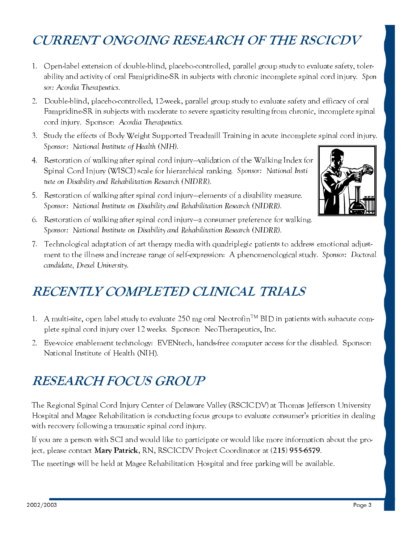### **CURRENT ONGOING RESEARCH OF THE RSCICDV**

- 1. Open-label extension of double-blind, placebo-controlled, parallel group study to evaluate safety, tolerability and activity of oral Famipridine-SR in subjects with chronic incomplete spinal cord injury. Sponsor: Acordia Therapeutics.
- 2. Double-blind, placebo-controlled, 12-week, parallel group study to evaluate safety and efficacy of oral Fampridine-SR in subjects with moderate to severe spasticity resulting from chronic, incomplete spinal cord injury. Sponsor: Acordia Therapeutics.
- 3. Study the effects of Body Weight Supported Treadmill Training in acute incomplete spinal cord injury. Sponsor: National Institute of Health (NIH).
- 4. Restoration of walking after spinal cord injury-validation of the Walking Index for Spinal Cord Injury (WISCI) scale for hierarchical ranking. Sponsor: National Institute on Disability and Rehabilitation Research (NIDRR).
- 5. Restoration of walking after spinal cord injury-elements of a disability measure. Sponsor: National Institute on Disability and Rehabilitation Research (NIDRR).



- 6. Restoration of walking after spinal cord injury—a consumer preference for walking. Sponsor: National Institute on Disability and Rehabilitation Research (NIDRR).
- 7. Technological adaptation of art therapy media with quadriplegic patients to address emotional adjustment to the illness and increase range of self-expression: A phenomenological study. Sponsor: Doctoral candidate, Drexel University.

#### RECENTLY COMPLETED CLINICAL TRIALS

- 1. A multi-site, open label study to evaluate 250 mg oral Neotrofin<sup>TM</sup> BID in patients with subacute complete spinal cord injury over 12 weeks. Sponsor: NeoTherapeutics, Inc.
- 2. Eye-voice enablement technology: EVENtech, hands-free computer access for the disabled. Sponsor: National Institute of Health (NIH).

## **RESEARCH FOCUS GROUP**

The Regional Spinal Cord Injury Center of Delaware Valley (RSCICDV) at Thomas Jefferson University Hospital and Magee Rehabilitation is conducting focus groups to evaluate consumer's priorities in dealing with recovery following a traumatic spinal cord injury.

If you are a person with SCI and would like to participate or would like more information about the project, please contact Mary Patrick, RN, RSCICDV Project Coordinator at (215) 955-6579.

The meetings will be held at Magee Rehabilitation Hospital and free parking will be available.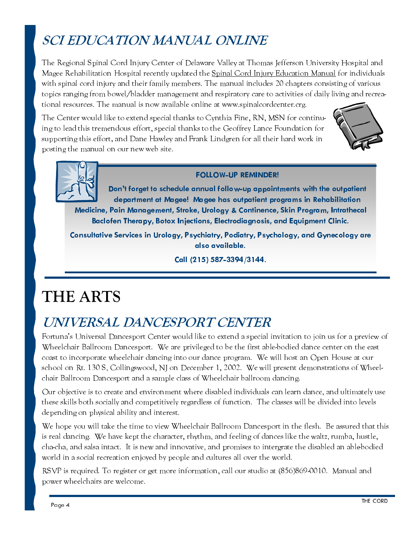## **SCI EDUCATION MANUAL ONLINE**

The Regional Spinal Cord Injury Center of Delaware Valley at Thomas Jefferson University Hospital and Magee Rehabilitation Hospital recently updated the Spinal Cord Injury Education Manual for individuals with spinal cord injury and their family members. The manual includes 20 chapters consisting of various topics ranging from bowel/bladder management and respiratory care to activities of daily living and recreational resources. The manual is now available online at www.spinalcordcenter.crg.

The Center would like to extend special thanks to Cynthia Fine, RN, MSN for continuing to lead this tremendous effort, special thanks to the Geoffrey Lance Foundation for supporting this effort, and Dane Hawley and Frank Lindgren for all their hard work in posting the manual on our new web site.





#### **FOLLOW-UP REMINDER!**

Don't forget to schedule annual follow-up appointments with the outpatient department at Magee! Magee has outpatient programs in Rehabilitation Medicine, Pain Management, Stroke, Urology & Continence, Skin Program, Intrathecal Baclofen Therapy, Botox Injections, Electrodiagnosis, and Equipment Clinic.

Consultative Services in Urology, Psychiatry, Podiatry, Psychology, and Gynecology are also available.

Call (215) 587-3394/3144.

# THE ARTS

#### UNIVERSAL DANCESPORT CENTER

Fortuna's Universal Dancesport Center would like to extend a special invitation to join us for a preview of Wheelchair Ballroom Dancesport. We are privileged to be the first able-bodied dance center on the east coast to incorporate wheelchair dancing into our dance program. We will host an Open House at our school on Rt. 130 S, Collingswood, NJ on December 1, 2002. We will present demonstrations of Wheelchair Ballroom Dancesport and a sample class of Wheelchair ballroom dancing

Our objective is to create and environment where disabled individuals can learn dance, and ultimately use these skills both socially and competitively regardless of function. The classes will be divided into levels depending on physical ability and interest.

We hope you will take the time to view Wheelchair Ballroom Dancesport in the flesh. Be assured that this is real dancing. We have kept the character, rhythm, and feeling of dances like the waltz, rumba, hustle, cha-cha, and salsa intact. It is new and innovative, and promises to intergrate the disabled an ablebodied world in a social recreation enjoyed by people and cultures all over the world.

RSVP is required. To register or get more information, call our studio at (856)869-0010. Manual and power wheelchairs are welcome.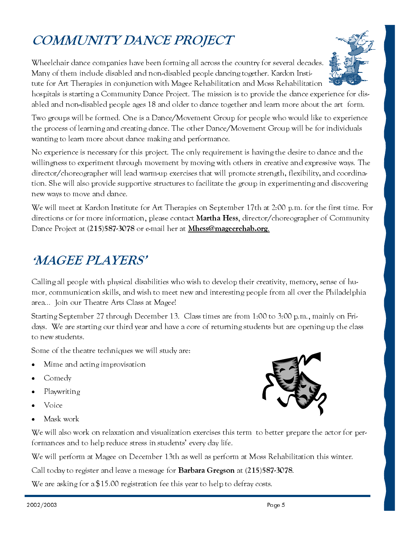## COMMUNITY DANCE PROJECT

Wheelchair dance companies have been forming all across the country for several decades. Many of them include disabled and non-disabled people dancing together. Kardon Institute for Art Therapies in conjunction with Magee Rehabilitation and Moss Rehabilitation



hospitals is starting a Community Dance Project. The mission is to provide the dance experience for disabled and non-disabled people ages 18 and older to dance together and learn more about the art form.

Two groups will be formed. One is a Dance/Movement Group for people who would like to experience the process of learning and creating dance. The other Dance/Movement Group will be for individuals wanting to learn more about dance making and performance.

No experience is necessary for this project. The only requirement is having the desire to dance and the willingness to experiment through movement by moving with others in creative and expressive ways. The director/choreographer will lead warm-up exercises that will promote strength, flexibility, and coordination. She will also provide supportive structures to facilitate the group in experimenting and discovering new ways to move and dance.

We will meet at Kardon Institute for Art Therapies on September 17th at 2:00 p.m. for the first time. For directions or for more information, please contact **Martha Hess**, director/choreographer of Community Dance Project at (215)587-3078 or e-mail her at Mhess@mageerehab.org.

#### **MAGEE PLAYERS'**

Calling all people with physical disabilities who wish to develop their creativity, memory, sense of humor, communication skills, and wish to meet new and interesting people from all over the Philadelphia area... Join our Theatre Arts Class at Magee!

Starting September 27 through December 13. Class times are from 1:00 to 3:00 p.m., mainly on Fridays. We are starting our third year and have a core of returning students but are opening up the class to new students.

Some of the theatre techniques we will study are:

- Mime and acting improvisation
- Comedy
- Playwriting
- Voice
- Mask work

We will also work on relaxation and visualization exercises this term to better prepare the actor for per-

We will perform at Magee on December 13th as well as perform at Moss Rehabilitation this winter.

Call today to register and leave a message for **Barbara Gregson** at (215)587-3078.

We are asking for a \$15.00 registration fee this year to help to defray costs.

formances and to help reduce stress in students' every day life.

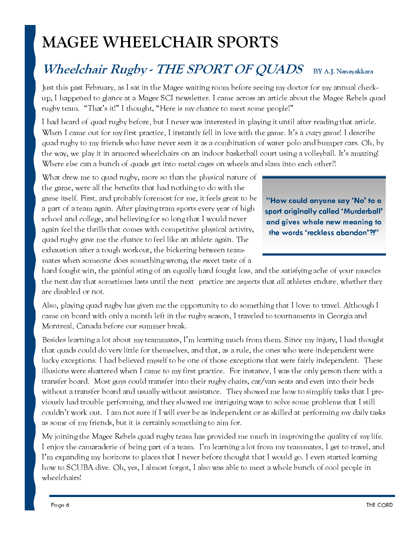# **MAGEE WHEELCHAIR SPORTS**

#### Wheelchair Rugby - THE SPORT OF QUADS BY A.J. Nanayakkara

Just this past February, as I sat in the Magee waiting room before seeing my doctor for my annual checkup, I happened to glance at a Magee SCI newsletter. I came across an article about the Magee Rebels quad rugby team. "That's it!" I thought, "Here is my chance to meet some people!"

I had heard of quad rugby before, but I never was interested in playing it until after reading that article. When I came out for my first practice, I instantly fell in love with the game. It's a crazy game! I describe quad rugby to my friends who have never seen it as a combination of water polo and bumper cars. Oh, by the way, we play it in armored wheelchairs on an indoor basketball court using a volleyball. It's amazing! Where else can a bunch of quads get into metal cages on wheels and slam into each other?!

What drew me to quad rugby, more so than the physical nature of the game, were all the benefits that had nothing to do with the game itself. First, and probably foremost for me, it feels great to be a part of a team again. After playing tram sports every year of high school and college, and believing for so long that I would never again feel the thrills that comes with competitive physical activity, quad rugby gave me the chance to feel like an athlete again. The exhaustion after a tough workout, the bickering between teammates when someone does something wrong, the sweet taste of a

"How could anyone say 'No' to a sport originally called 'Murderball' and gives whole new meaning to the words 'reckless abandon'?!"

hard fought win, the painful sting of an equally hard fought loss, and the satisfying ache of your muscles the next day that sometimes lasts until the next practice are aspects that all athletes endure, whether they are disabled or not.

Also, playing quad rugby has given me the opportunity to do something that I love: to travel. Although I came on board with only a month left in the rugby season, I traveled to tournaments in Georgia and Montreal, Canada before our summer break.

Besides learning a lot about my teammates, I'm learning much from them. Since my injury, I had thought that quads could do very little for themselves, and that, as a rule, the ones who were independent were lucky exceptions. I had believed myself to be one of those exceptions that were fairly independent. These illusions were shattered when I came to my first practice. For instance, I was the only person there with a transfer board. Most guys could transfer into their rugby chairs, car/van seats and even into their beds without a transfer board and usually without assistance. They showed me how to simplify tasks that I previously had trouble performing, and they showed me intriguing ways to solve some problems that I still couldn't work out. I am not sure if I will ever be as independent or as skilled at performing my daily tasks as some of my friends, but it is certainly something to aim for.

My joining the Magee Rebels quad rugby team has provided me much in improving the quality of my life. I enjoy the camaraderie of being part of a team. I'm learning a lot from my teammates, I get to travel, and I'm expanding my horizons to places that I never before thought that I would go. I even started learning how to SCUBA dive. Oh, yes, I almost forgot, I also was able to meet a whole bunch of cool people in wheelchairs!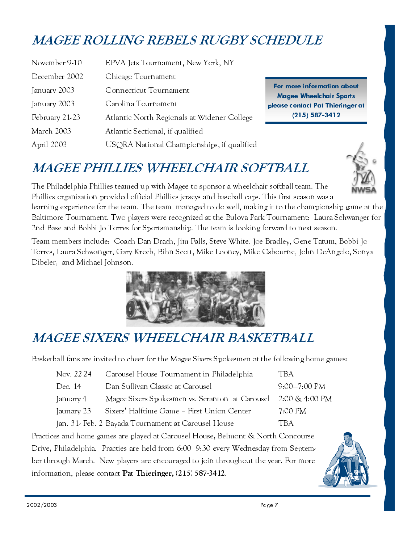## **MAGEE ROLLING REBELS RUGBY SCHEDULE**

| November 9-10  | EPVA Jets Tournament, New York, NY          |
|----------------|---------------------------------------------|
| December 2002  | Chicago Tournament                          |
| January 2003   | Connecticut Tournament                      |
| January 2003   | Carolina Tournament                         |
| February 21-23 | Atlantic North Regionals at Widener College |
| March 2003     | Atlantic Sectional, if qualified            |
| April 2003     | USQRA National Championships, if qualified  |

For more information about **Magee Wheelchair Sports** please contact Pat Thieringer at  $(215)$  587-3412

#### **MAGEE PHILLIES WHEELCHAIR SOFTBALL**



The Philadelphia Phillies teamed up with Magee to sponsor a wheelchair softball team. The Phillies organization provided official Phillies jerseys and baseball caps. This first season was a learning experience for the team. The team managed to do well, making it to the championship game at the Baltimore Tournament. Two players were recognized at the Bulova Park Tournament: Laura Schwanger for 2nd Base and Bobbi Jo Torres for Sportsmanship. The team is looking forward to next season.

Team members include: Coach Dan Drach, Jim Falls, Steve White, Joe Bradley, Gene Tatum, Bobbi Jo Torres, Laura Schwanger, Gary Kreeb, Bihn Scott, Mike Looney, Mike Osbourne, John DeAngelo, Sonya Dibeler, and Michael Johnson.



## **MAGEE SIXERS WHEELCHAIR BASKETBALL**

Basketball fans are invited to cheer for the Magee Sixers Spokesmen at the following home games:

| Nov. 22-24                                                                | Carousel House Tournament in Philadelphia           | TBA.                     |  |  |
|---------------------------------------------------------------------------|-----------------------------------------------------|--------------------------|--|--|
| Dec. 14                                                                   | Dan Sullivan Classic at Carousel                    | $9:00 - 7:00 \text{ PM}$ |  |  |
| January 4                                                                 | Magee Sixers Spokesmen vs. Scranton at Carousel     | 2:00 & 4:00 PM           |  |  |
| Jaunary 23                                                                | Sixers' Halftime Game - First Union Center          | 7:00 PM                  |  |  |
|                                                                           | Jan. 31- Feb. 2 Bayada Tournament at Carousel House | TBA                      |  |  |
| es and home cames are played at Carousel House, Belmont & North Consource |                                                     |                          |  |  |

Practices and home games are played at Carousel House, Belmont & North Concourse Drive, Philadelphia. Practies are held from 6:00-9:30 every Wednesday from September through March. New players are encouraged to join throughout the year. For more information, please contact Pat Thieringer, (215) 587-3412.

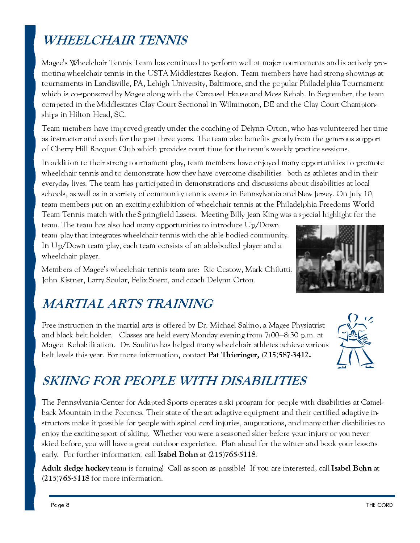## **WHEELCHAIR TENNIS**

Magee's Wheelchair Tennis Team has continued to perform well at major tournaments and is actively promoting wheelchair tennis in the USTA Middlestates Region. Team members have had strong showings at tournaments in Landisville, PA, Lehigh University, Baltimore, and the popular Philadelphia Tournament which is co-sponsored by Magee along with the Carousel House and Moss Rehab. In September, the team competed in the Middlestates Clay Court Sectional in Wilmington, DE and the Clay Court Championships in Hilton Head, SC.

Team members have improved greatly under the coaching of Delynn Orton, who has volunteered her time as instructor and coach for the past three years. The team also benefits greatly from the generous support of Cherry Hill Racquet Club which provides court time for the team's weekly practice sessions.

In addition to their strong tournament play, team members have enjoved many opportunities to promote wheelchair tennis and to demonstrate how they have overcome disabilities—both as athletes and in their everyday lives. The team has participated in demonstrations and discussions about disabilities at local schools, as well as in a variety of community tennis events in Pennsylvania and New Jersey. On July 10, team members put on an exciting exhibition of wheelchair tennis at the Philadelphia Freedoms World Team Tennis match with the Springfield Lasers. Meeting Billy Jean King was a special highlight for the

team. The team has also had many opportunities to introduce Up/Down team play that integrates wheelchair tennis with the able bodied community. In Up/Down team play, each team consists of an able-bodied player and a wheelchair player.

Members of Magee's wheelchair tennis team are: Ric Costow, Mark Chilutti, John Kistner, Larry Soular, Felix Suero, and coach Delynn Orton.

## **MARTIAL ARTS TRAINING**

Free instruction in the martial arts is offered by Dr. Michael Salino, a Magee Physiatrist and black belt holder. Classes are held every Monday evening from 7:00–8:30 p.m. at Magee Rehabilitation. Dr. Saulino has helped many wheelchair athletes achieve various belt levels this year. For more information, contact Pat Thieringer, (215)587-3412.



## **SKIING FOR PEOPLE WITH DISABILITIES**

The Pennsylvania Center for Adapted Sports operates a ski program for people with disabilities at Camelback Mountain in the Poconos. Their state of the art adaptive equipment and their certified adaptive instructors make it possible for people with spinal cord injuries, amputations, and many other disabilities to enjoy the exciting sport of skiing. Whether you were a seasoned skier before your injury or you never skied before, you will have a great outdoor experience. Plan ahead for the winter and book your lessons early. For further information, call Isabel Bohn at (215)765-5118.

Adult sledge hockey team is forming! Call as soon as possible! If you are interested, call Isabel Bohn at  $(215)765-5118$  for more information.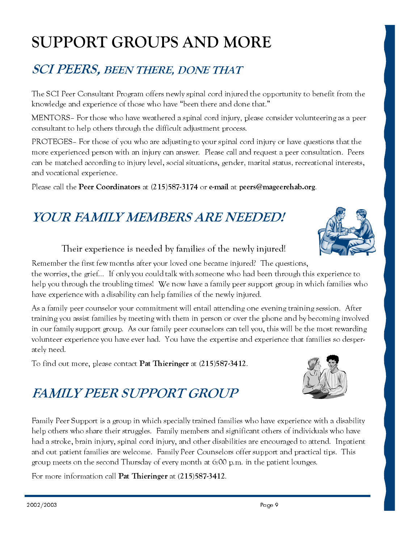# **SUPPORT GROUPS AND MORE**

#### **SCI PEERS, BEEN THERE, DONE THAT**

The SCI Peer Consultant Program offers newly spinal cord injured the opportunity to benefit from the knowledge and experience of those who have "been there and done that."

MENTORS- For those who have weathered a spinal cord injury, please consider volunteering as a peer consultant to help others through the difficult adjustment process.

PROTEGES- For those of you who are adjusting to your spinal cord injury or have questions that the more experienced person with an injury can answer. Please call and request a peer consultation. Peers can be matched according to injury level, social situations, gender, marital status, recreational interests, and vocational experience.

Please call the Peer Coordinators at (215)587-3174 or e-mail at peers@mageerehab.org.

# **YOUR FAMILY MEMBERS ARE NEEDED!**

#### Their experience is needed by families of the newly injured!

Remember the first few months after your loved one became injured? The questions, the worries, the grief... If only you could talk with someone who had been through this experience to help you through the troubling times! We now have a family peer support group in which families who have experience with a disability can help families of the newly injured.

As a family peer counselor your commitment will entail attending one evening training session. After training you assist families by meeting with them in person or over the phone and by becoming involved in our family support group. As our family peer counselors can tell you, this will be the most rewarding volunteer experience you have ever had. You have the expertise and experience that families so desperately need.

To find out more, please contact Pat Thieringer at (215)587-3412.

## **FAMILY PEER SUPPORT GROUP**

Family Peer Support is a group in which specially trained families who have experience with a disability help others who share their struggles. Family members and significant others of individuals who have had a stroke, brain injury, spinal cord injury, and other disabilities are encouraged to attend. Inpatient and out patient families are welcome. Family Peer Counselors offer support and practical tips. This group meets on the second Thursday of every month at  $6:00$  p.m. in the patient lounges.

For more information call Pat Thieringer at (215)587-3412.



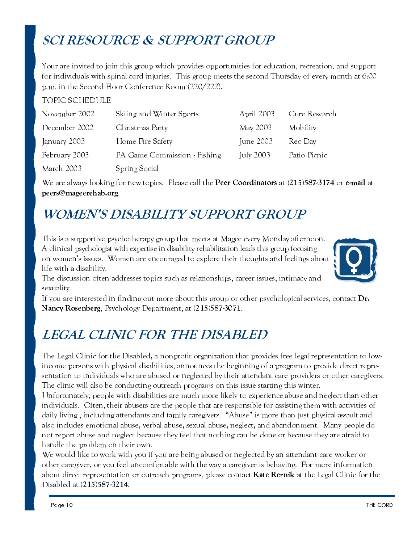### **SCI RESOURCE & SUPPORT GROUP**

Your are invited to join this group which provides opportunities for education, recreation, and support for individuals with spinal cord injuries. This group meets the second Thursday of every month at 6:00 p.m. in the Second Floor Conference Room (220/222).

#### **TOPIC SCHEDULE**

| November 2002 | Skiing and Winter Sports     | April 2003 | Cure Research |
|---------------|------------------------------|------------|---------------|
| December 2002 | Christmas Party              | May 2003   | Mobility      |
| January 2003  | Home Fire Safety             | June 2003  | Rec Day       |
| February 2003 | PA Game Commission - Fishing | July 2003  | Patio Picnic  |
| March 2003    | Spring Social                |            |               |

We are always looking for new topics. Please call the Peer Coordinators at (215)587-3174 or e-mail at peers@mageerehab.org

#### **WOMEN'S DISABILITY SUPPORT GROUP**

This is a supportive psychotherapy group that meets at Magee every Monday afternoon. A clinical psychologist with expertise in disability rehabilitation leads this group focusing on women's issues. Women are encouraged to explore their thoughts and feelings about life with a disability.



The discussion often addresses topics such as relationships, career issues, intimacy and sexuality.

If you are interested in finding out more about this group or other psychological services, contact **Dr.** Nancy Rosenberg, Psychology Department, at (215)587-3071.

#### **LEGAL CLINIC FOR THE DISABLED**

The Legal Clinic for the Disabled, a nonprofit organization that provides free legal representation to lowincome persons with physical disabilities, announces the beginning of a program to provide direct representation to individuals who are abused or neglected by their attendant care providers or other caregivers. The clinic will also be conducting outreach programs on this issue starting this winter.

Unfortunately, people with disabilities are much more likely to experience abuse and neglect than other individuals. Often, their abusers are the people that are responsible for assisting them with activities of daily living, including attendants and family caregivers. "Abuse" is more than just physical assault and also includes emotional abuse, verbal abuse, sexual abuse, neglect, and abandonment. Many people do not report abuse and neglect because they feel that nothing can be done or because they are afraid to handle the problem on their own.

We would like to work with you if you are being abused or neglected by an attendant care worker or other caregiver, or you feel uncomfortable with the way a caregiver is behaving. For more information about direct representation or outreach programs, please contact Kate Reznik at the Legal Clinic for the Disabled at (215)587-3214.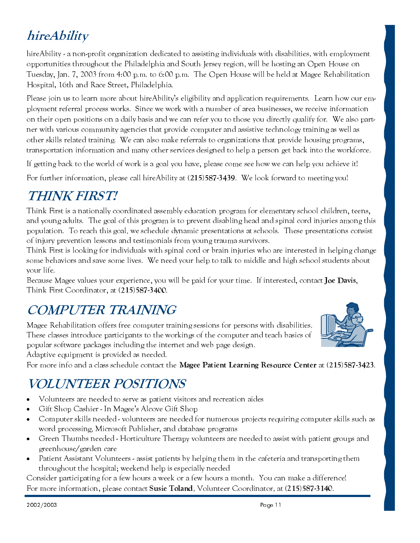## hireAbility

hireAbility - a non-profit organization dedicated to assisting individuals with disabilities, with employment opportunities throughout the Philadelphia and South Jersey region, will be hosting an Open House on Tuesday, Jan. 7, 2003 from 4:00 p.m. to 6:00 p.m. The Open House will be held at Magee Rehabilitation Hospital, 16th and Race Street, Philadelphia.

Please join us to learn more about hireAbility's eligibility and application requirements. Learn how our employment referral process works. Since we work with a number of area businesses, we receive information on their open positions on a daily basis and we can refer you to those you directly qualify for. We also partner with various community agencies that provide computer and assistive technology training as well as other skills related training. We can also make referrals to organizations that provide housing programs, transportation information and many other services designed to help a person get back into the workforce.

If getting back to the world of work is a goal you have, please come see how we can help you achieve it!

For further information, please call hireAbility at (215)587-3439. We look forward to meeting you!

## **THINK FIRST!**

Think First is a nationally coordinated assembly education program for elementary school children, teens, and young adults. The goal of this program is to prevent disabling head and spinal cord injuries among this population. To reach this goal, we schedule dynamic presentations at schools. These presentations consist of injury prevention lessons and testimonials from young trauma survivors.

Think First is looking for individuals with spinal cord or brain injuries who are interested in helping change some behaviors and save some lives. We need your help to talk to middle and high school students about vour life.

Because Magee values your experience, you will be paid for your time. If interested, contact Joe Davis, Think First Coordinator, at (215)587-3400.

#### **COMPUTER TRAINING**

Magee Rehabilitation offers free computer training sessions for persons with disabilities. These classes introduce participants to the workings of the computer and teach basics of popular software packages including the internet and web page design.

Adaptive equipment is provided as needed.

For more info and a class schedule contact the Magee Patient Learning Resource Center at (215)587-3423.

#### *VOLUNTEER POSITIONS*

- Volunteers are needed to serve as patient visitors and recreation aides
- Gift Shop Cashier In Magee's Alcove Gift Shop  $\bullet$
- Computer skills needed volunteers are needed for numerous projects requiring computer skills such as word processing, Microsoft Publisher, and database programs
- Green Thumbs needed Horticulture Therapy volunteers are needed to assist with patient groups and  $\bullet$ greenhouse/garden care
- Patient Assistant Volunteers assist patients by helping them in the cafeteria and transporting them throughout the hospital; weekend help is especially needed

Consider participating for a few hours a week or a few hours a month. You can make a difference! For more information, please contact Susie Toland, Volunteer Coordinator, at (215)587-3140.